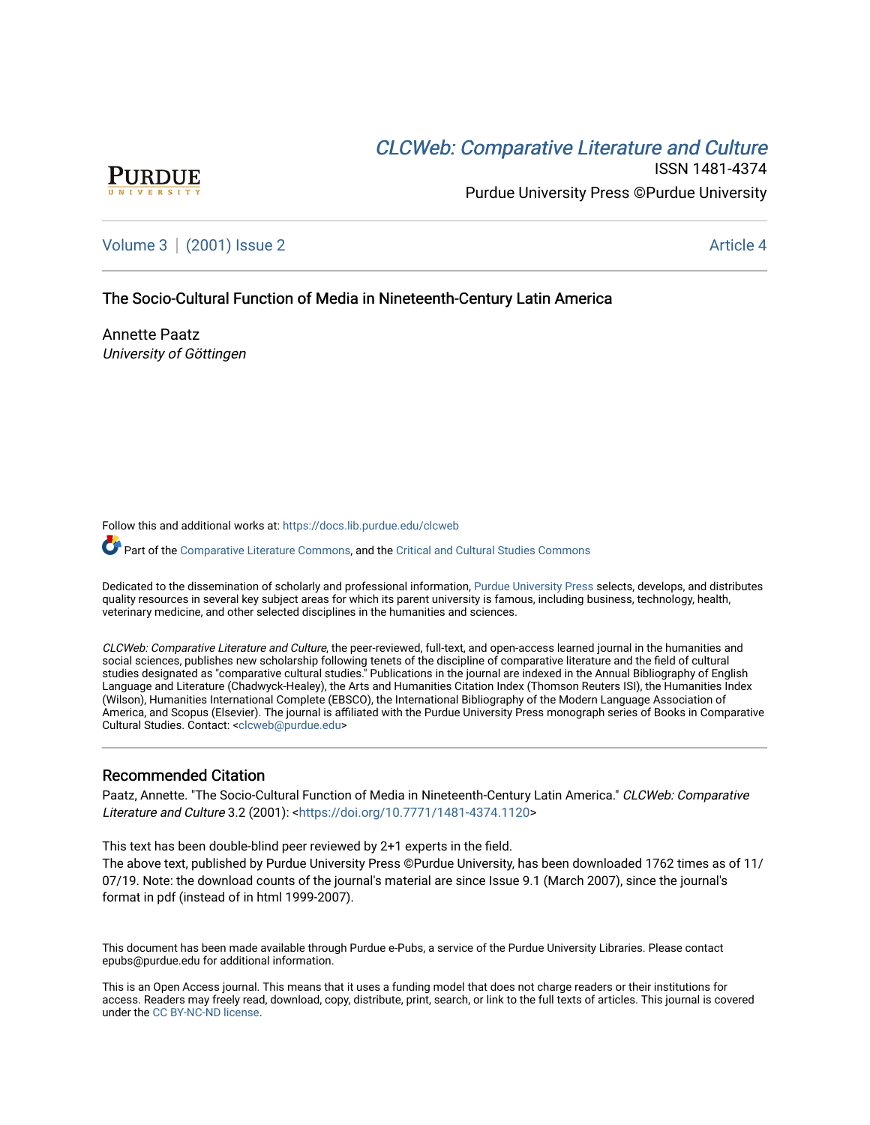# CLCW[eb: Comparative Liter](https://docs.lib.purdue.edu/clcweb)ature and Culture



ISSN 1481-4374 Purdue University Press ©Purdue University

[Volume 3](https://docs.lib.purdue.edu/clcweb/vol3) | [\(2001\) Issue 2](https://docs.lib.purdue.edu/clcweb/vol3/iss2) Article 4

### The Socio-Cultural Function of Media in Nineteenth-Century Latin America

Annette Paatz University of Göttingen

Follow this and additional works at: [https://docs.lib.purdue.edu/clcweb](https://docs.lib.purdue.edu/clcweb?utm_source=docs.lib.purdue.edu%2Fclcweb%2Fvol3%2Fiss2%2F4&utm_medium=PDF&utm_campaign=PDFCoverPages)

Part of the [Comparative Literature Commons,](http://network.bepress.com/hgg/discipline/454?utm_source=docs.lib.purdue.edu%2Fclcweb%2Fvol3%2Fiss2%2F4&utm_medium=PDF&utm_campaign=PDFCoverPages) and the Critical and Cultural Studies Commons

Dedicated to the dissemination of scholarly and professional information, [Purdue University Press](http://www.thepress.purdue.edu/) selects, develops, and distributes quality resources in several key subject areas for which its parent university is famous, including business, technology, health, veterinary medicine, and other selected disciplines in the humanities and sciences.

CLCWeb: Comparative Literature and Culture, the peer-reviewed, full-text, and open-access learned journal in the humanities and social sciences, publishes new scholarship following tenets of the discipline of comparative literature and the field of cultural studies designated as "comparative cultural studies." Publications in the journal are indexed in the Annual Bibliography of English Language and Literature (Chadwyck-Healey), the Arts and Humanities Citation Index (Thomson Reuters ISI), the Humanities Index (Wilson), Humanities International Complete (EBSCO), the International Bibliography of the Modern Language Association of America, and Scopus (Elsevier). The journal is affiliated with the Purdue University Press monograph series of Books in Comparative Cultural Studies. Contact: [<clcweb@purdue.edu](mailto:clcweb@purdue.edu)>

### Recommended Citation

Paatz, Annette. "The Socio-Cultural Function of Media in Nineteenth-Century Latin America." CLCWeb: Comparative Literature and Culture 3.2 (2001): [<https://doi.org/10.7771/1481-4374.1120](https://doi.org/10.7771/1481-4374.1120)>

This text has been double-blind peer reviewed by 2+1 experts in the field.

The above text, published by Purdue University Press ©Purdue University, has been downloaded 1762 times as of 11/ 07/19. Note: the download counts of the journal's material are since Issue 9.1 (March 2007), since the journal's format in pdf (instead of in html 1999-2007).

This document has been made available through Purdue e-Pubs, a service of the Purdue University Libraries. Please contact epubs@purdue.edu for additional information.

This is an Open Access journal. This means that it uses a funding model that does not charge readers or their institutions for access. Readers may freely read, download, copy, distribute, print, search, or link to the full texts of articles. This journal is covered under the [CC BY-NC-ND license.](https://creativecommons.org/licenses/by-nc-nd/4.0/)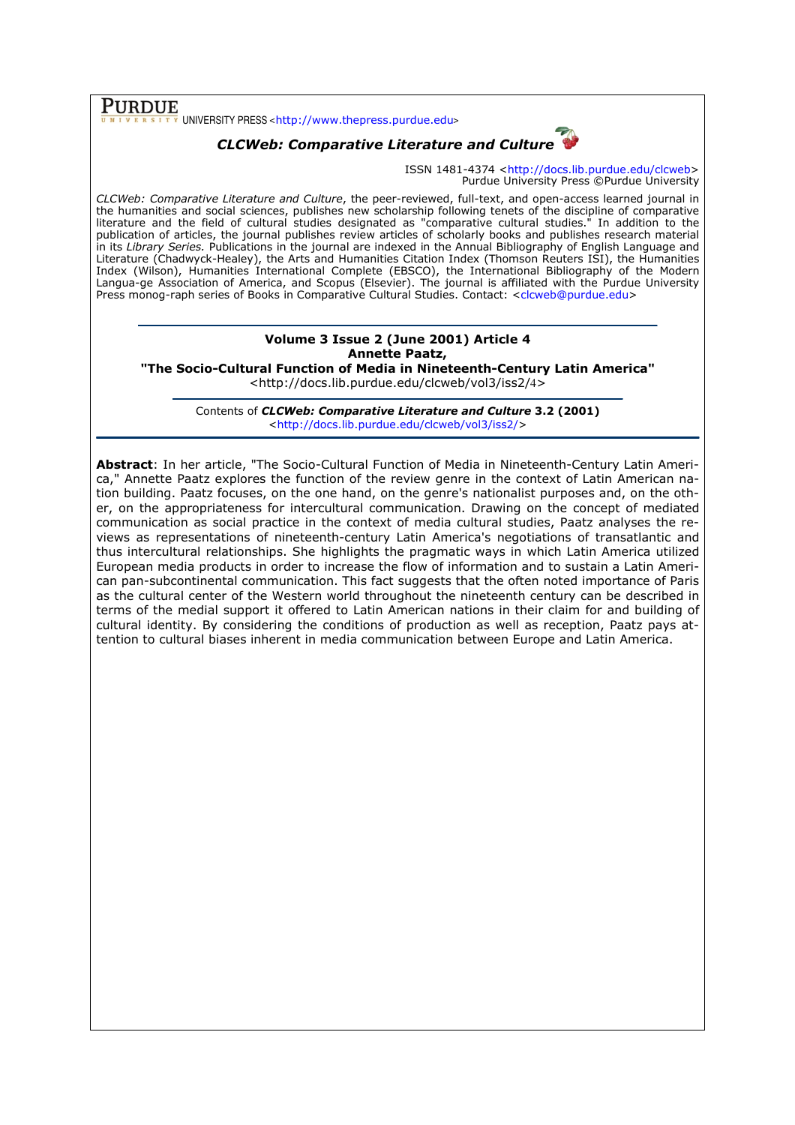## Purdue

UNIVERSITY PRESS <http://www.thepress.purdue.edu>

## CLCWeb: Comparative Literature and Culture

ISSN 1481-4374 <http://docs.lib.purdue.edu/clcweb> Purdue University Press ©Purdue University

CLCWeb: Comparative Literature and Culture, the peer-reviewed, full-text, and open-access learned journal in the humanities and social sciences, publishes new scholarship following tenets of the discipline of comparative literature and the field of cultural studies designated as "comparative cultural studies." In addition to the publication of articles, the journal publishes review articles of scholarly books and publishes research material in its Library Series. Publications in the journal are indexed in the Annual Bibliography of English Language and Literature (Chadwyck-Healey), the Arts and Humanities Citation Index (Thomson Reuters ISI), the Humanities Index (Wilson), Humanities International Complete (EBSCO), the International Bibliography of the Modern Langua-ge Association of America, and Scopus (Elsevier). The journal is affiliated with the Purdue University Press monog-raph series of Books in Comparative Cultural Studies. Contact: <clcweb@purdue.edu>

### Volume 3 Issue 2 (June 2001) Article 4 Annette Paatz,

"The Socio-Cultural Function of Media in Nineteenth-Century Latin America"

<http://docs.lib.purdue.edu/clcweb/vol3/iss2/4>

Contents of CLCWeb: Comparative Literature and Culture 3.2 (2001) <http://docs.lib.purdue.edu/clcweb/vol3/iss2/>

Abstract: In her article, "The Socio-Cultural Function of Media in Nineteenth-Century Latin America," Annette Paatz explores the function of the review genre in the context of Latin American nation building. Paatz focuses, on the one hand, on the genre's nationalist purposes and, on the other, on the appropriateness for intercultural communication. Drawing on the concept of mediated communication as social practice in the context of media cultural studies, Paatz analyses the reviews as representations of nineteenth-century Latin America's negotiations of transatlantic and thus intercultural relationships. She highlights the pragmatic ways in which Latin America utilized European media products in order to increase the flow of information and to sustain a Latin American pan-subcontinental communication. This fact suggests that the often noted importance of Paris as the cultural center of the Western world throughout the nineteenth century can be described in terms of the medial support it offered to Latin American nations in their claim for and building of cultural identity. By considering the conditions of production as well as reception, Paatz pays attention to cultural biases inherent in media communication between Europe and Latin America.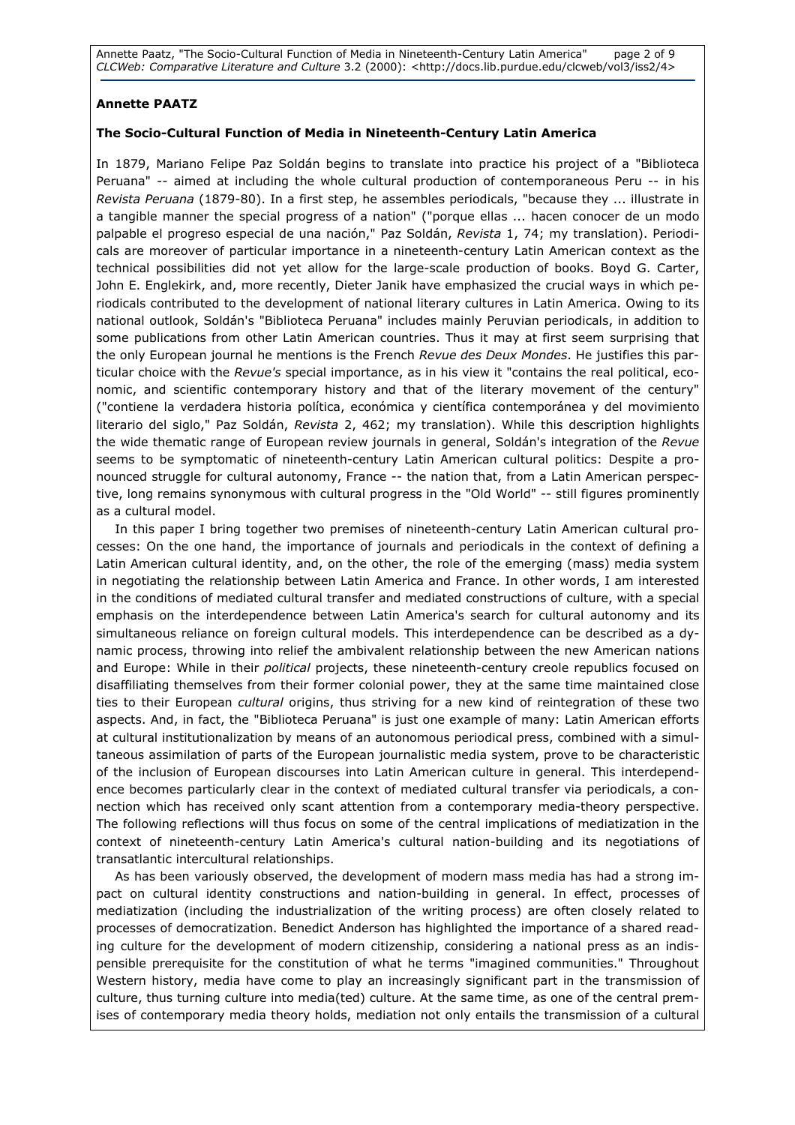Annette Paatz, "The Socio-Cultural Function of Media in Nineteenth-Century Latin America" page 2 of 9 CLCWeb: Comparative Literature and Culture 3.2 (2000): <http://docs.lib.purdue.edu/clcweb/vol3/iss2/4>

### Annette PAATZ

### The Socio-Cultural Function of Media in Nineteenth-Century Latin America

In 1879, Mariano Felipe Paz Soldán begins to translate into practice his project of a "Biblioteca Peruana" -- aimed at including the whole cultural production of contemporaneous Peru -- in his Revista Peruana (1879-80). In a first step, he assembles periodicals, "because they ... illustrate in a tangible manner the special progress of a nation" ("porque ellas ... hacen conocer de un modo palpable el progreso especial de una nación," Paz Soldán, Revista 1, 74; my translation). Periodicals are moreover of particular importance in a nineteenth-century Latin American context as the technical possibilities did not yet allow for the large-scale production of books. Boyd G. Carter, John E. Englekirk, and, more recently, Dieter Janik have emphasized the crucial ways in which periodicals contributed to the development of national literary cultures in Latin America. Owing to its national outlook, Soldán's "Biblioteca Peruana" includes mainly Peruvian periodicals, in addition to some publications from other Latin American countries. Thus it may at first seem surprising that the only European journal he mentions is the French Revue des Deux Mondes. He justifies this particular choice with the Revue's special importance, as in his view it "contains the real political, economic, and scientific contemporary history and that of the literary movement of the century" ("contiene la verdadera historia política, económica y científica contemporánea y del movimiento literario del siglo," Paz Soldán, Revista 2, 462; my translation). While this description highlights the wide thematic range of European review journals in general, Soldán's integration of the Revue seems to be symptomatic of nineteenth-century Latin American cultural politics: Despite a pronounced struggle for cultural autonomy, France -- the nation that, from a Latin American perspective, long remains synonymous with cultural progress in the "Old World" -- still figures prominently as a cultural model.

In this paper I bring together two premises of nineteenth-century Latin American cultural processes: On the one hand, the importance of journals and periodicals in the context of defining a Latin American cultural identity, and, on the other, the role of the emerging (mass) media system in negotiating the relationship between Latin America and France. In other words, I am interested in the conditions of mediated cultural transfer and mediated constructions of culture, with a special emphasis on the interdependence between Latin America's search for cultural autonomy and its simultaneous reliance on foreign cultural models. This interdependence can be described as a dynamic process, throwing into relief the ambivalent relationship between the new American nations and Europe: While in their political projects, these nineteenth-century creole republics focused on disaffiliating themselves from their former colonial power, they at the same time maintained close ties to their European *cultural* origins, thus striving for a new kind of reintegration of these two aspects. And, in fact, the "Biblioteca Peruana" is just one example of many: Latin American efforts at cultural institutionalization by means of an autonomous periodical press, combined with a simultaneous assimilation of parts of the European journalistic media system, prove to be characteristic of the inclusion of European discourses into Latin American culture in general. This interdependence becomes particularly clear in the context of mediated cultural transfer via periodicals, a connection which has received only scant attention from a contemporary media-theory perspective. The following reflections will thus focus on some of the central implications of mediatization in the context of nineteenth-century Latin America's cultural nation-building and its negotiations of transatlantic intercultural relationships.

As has been variously observed, the development of modern mass media has had a strong impact on cultural identity constructions and nation-building in general. In effect, processes of mediatization (including the industrialization of the writing process) are often closely related to processes of democratization. Benedict Anderson has highlighted the importance of a shared reading culture for the development of modern citizenship, considering a national press as an indispensible prerequisite for the constitution of what he terms "imagined communities." Throughout Western history, media have come to play an increasingly significant part in the transmission of culture, thus turning culture into media(ted) culture. At the same time, as one of the central premises of contemporary media theory holds, mediation not only entails the transmission of a cultural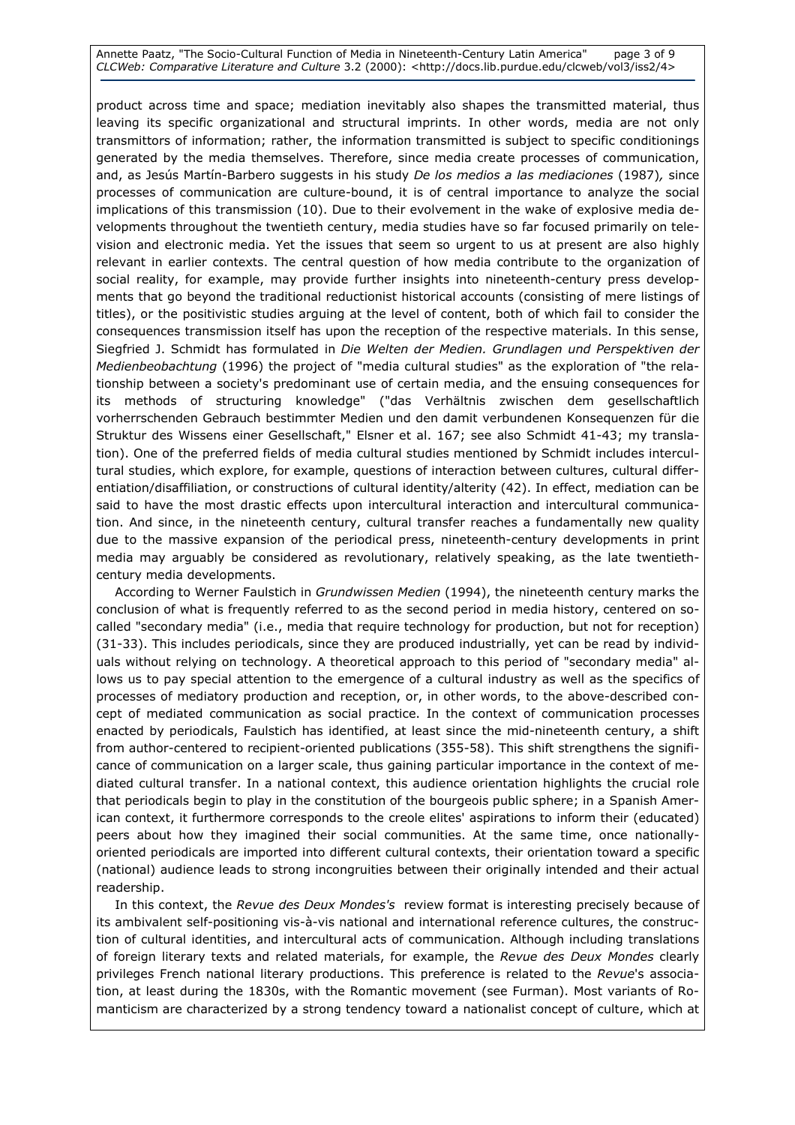Annette Paatz, "The Socio-Cultural Function of Media in Nineteenth-Century Latin America" page 3 of 9 CLCWeb: Comparative Literature and Culture 3.2 (2000): <http://docs.lib.purdue.edu/clcweb/vol3/iss2/4>

product across time and space; mediation inevitably also shapes the transmitted material, thus leaving its specific organizational and structural imprints. In other words, media are not only transmittors of information; rather, the information transmitted is subject to specific conditionings generated by the media themselves. Therefore, since media create processes of communication, and, as Jesús Martín-Barbero suggests in his study De los medios a las mediaciones (1987), since processes of communication are culture-bound, it is of central importance to analyze the social implications of this transmission (10). Due to their evolvement in the wake of explosive media developments throughout the twentieth century, media studies have so far focused primarily on television and electronic media. Yet the issues that seem so urgent to us at present are also highly relevant in earlier contexts. The central question of how media contribute to the organization of social reality, for example, may provide further insights into nineteenth-century press developments that go beyond the traditional reductionist historical accounts (consisting of mere listings of titles), or the positivistic studies arguing at the level of content, both of which fail to consider the consequences transmission itself has upon the reception of the respective materials. In this sense, Siegfried J. Schmidt has formulated in Die Welten der Medien. Grundlagen und Perspektiven der Medienbeobachtung (1996) the project of "media cultural studies" as the exploration of "the relationship between a society's predominant use of certain media, and the ensuing consequences for its methods of structuring knowledge" ("das Verhältnis zwischen dem gesellschaftlich vorherrschenden Gebrauch bestimmter Medien und den damit verbundenen Konsequenzen für die Struktur des Wissens einer Gesellschaft," Elsner et al. 167; see also Schmidt 41-43; my translation). One of the preferred fields of media cultural studies mentioned by Schmidt includes intercultural studies, which explore, for example, questions of interaction between cultures, cultural differentiation/disaffiliation, or constructions of cultural identity/alterity (42). In effect, mediation can be said to have the most drastic effects upon intercultural interaction and intercultural communication. And since, in the nineteenth century, cultural transfer reaches a fundamentally new quality due to the massive expansion of the periodical press, nineteenth-century developments in print media may arguably be considered as revolutionary, relatively speaking, as the late twentiethcentury media developments.

According to Werner Faulstich in Grundwissen Medien (1994), the nineteenth century marks the conclusion of what is frequently referred to as the second period in media history, centered on socalled "secondary media" (i.e., media that require technology for production, but not for reception) (31-33). This includes periodicals, since they are produced industrially, yet can be read by individuals without relying on technology. A theoretical approach to this period of "secondary media" allows us to pay special attention to the emergence of a cultural industry as well as the specifics of processes of mediatory production and reception, or, in other words, to the above-described concept of mediated communication as social practice. In the context of communication processes enacted by periodicals, Faulstich has identified, at least since the mid-nineteenth century, a shift from author-centered to recipient-oriented publications (355-58). This shift strengthens the significance of communication on a larger scale, thus gaining particular importance in the context of mediated cultural transfer. In a national context, this audience orientation highlights the crucial role that periodicals begin to play in the constitution of the bourgeois public sphere; in a Spanish American context, it furthermore corresponds to the creole elites' aspirations to inform their (educated) peers about how they imagined their social communities. At the same time, once nationallyoriented periodicals are imported into different cultural contexts, their orientation toward a specific (national) audience leads to strong incongruities between their originally intended and their actual readership.

In this context, the Revue des Deux Mondes's review format is interesting precisely because of its ambivalent self-positioning vis-à-vis national and international reference cultures, the construction of cultural identities, and intercultural acts of communication. Although including translations of foreign literary texts and related materials, for example, the Revue des Deux Mondes clearly privileges French national literary productions. This preference is related to the Revue's association, at least during the 1830s, with the Romantic movement (see Furman). Most variants of Romanticism are characterized by a strong tendency toward a nationalist concept of culture, which at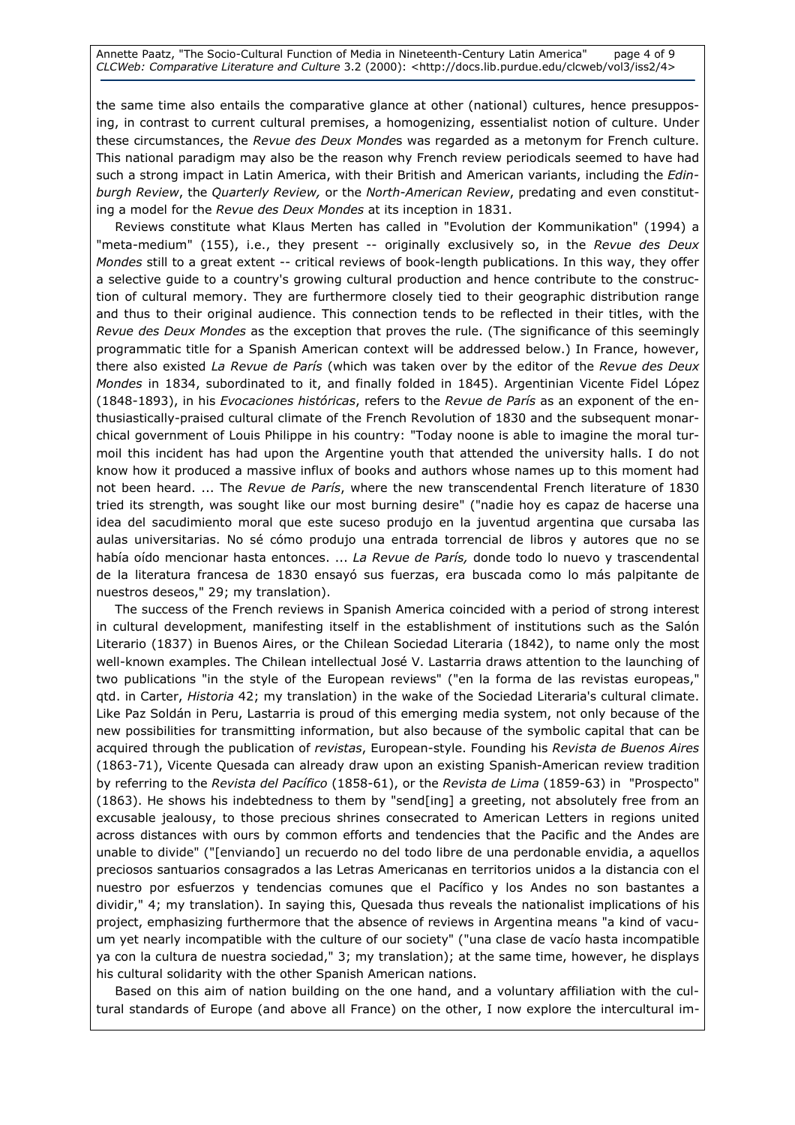Annette Paatz, "The Socio-Cultural Function of Media in Nineteenth-Century Latin America" page 4 of 9 CLCWeb: Comparative Literature and Culture 3.2 (2000): <http://docs.lib.purdue.edu/clcweb/vol3/iss2/4>

the same time also entails the comparative glance at other (national) cultures, hence presupposing, in contrast to current cultural premises, a homogenizing, essentialist notion of culture. Under these circumstances, the Revue des Deux Mondes was regarded as a metonym for French culture. This national paradigm may also be the reason why French review periodicals seemed to have had such a strong impact in Latin America, with their British and American variants, including the Edinburgh Review, the Quarterly Review, or the North-American Review, predating and even constituting a model for the Revue des Deux Mondes at its inception in 1831.

Reviews constitute what Klaus Merten has called in "Evolution der Kommunikation" (1994) a "meta-medium" (155), i.e., they present -- originally exclusively so, in the Revue des Deux Mondes still to a great extent -- critical reviews of book-length publications. In this way, they offer a selective guide to a country's growing cultural production and hence contribute to the construction of cultural memory. They are furthermore closely tied to their geographic distribution range and thus to their original audience. This connection tends to be reflected in their titles, with the Revue des Deux Mondes as the exception that proves the rule. (The significance of this seemingly programmatic title for a Spanish American context will be addressed below.) In France, however, there also existed La Revue de París (which was taken over by the editor of the Revue des Deux Mondes in 1834, subordinated to it, and finally folded in 1845). Argentinian Vicente Fidel López (1848-1893), in his Evocaciones históricas, refers to the Revue de París as an exponent of the enthusiastically-praised cultural climate of the French Revolution of 1830 and the subsequent monarchical government of Louis Philippe in his country: "Today noone is able to imagine the moral turmoil this incident has had upon the Argentine youth that attended the university halls. I do not know how it produced a massive influx of books and authors whose names up to this moment had not been heard. ... The Revue de París, where the new transcendental French literature of 1830 tried its strength, was sought like our most burning desire" ("nadie hoy es capaz de hacerse una idea del sacudimiento moral que este suceso produjo en la juventud argentina que cursaba las aulas universitarias. No sé cómo produjo una entrada torrencial de libros y autores que no se había oído mencionar hasta entonces. ... La Revue de París, donde todo lo nuevo y trascendental de la literatura francesa de 1830 ensayó sus fuerzas, era buscada como lo más palpitante de nuestros deseos," 29; my translation).

The success of the French reviews in Spanish America coincided with a period of strong interest in cultural development, manifesting itself in the establishment of institutions such as the Salón Literario (1837) in Buenos Aires, or the Chilean Sociedad Literaria (1842), to name only the most well-known examples. The Chilean intellectual José V. Lastarria draws attention to the launching of two publications "in the style of the European reviews" ("en la forma de las revistas europeas," qtd. in Carter, Historia 42; my translation) in the wake of the Sociedad Literaria's cultural climate. Like Paz Soldán in Peru, Lastarria is proud of this emerging media system, not only because of the new possibilities for transmitting information, but also because of the symbolic capital that can be acquired through the publication of revistas, European-style. Founding his Revista de Buenos Aires (1863-71), Vicente Quesada can already draw upon an existing Spanish-American review tradition by referring to the Revista del Pacífico (1858-61), or the Revista de Lima (1859-63) in "Prospecto" (1863). He shows his indebtedness to them by "send[ing] a greeting, not absolutely free from an excusable jealousy, to those precious shrines consecrated to American Letters in regions united across distances with ours by common efforts and tendencies that the Pacific and the Andes are unable to divide" ("[enviando] un recuerdo no del todo libre de una perdonable envidia, a aquellos preciosos santuarios consagrados a las Letras Americanas en territorios unidos a la distancia con el nuestro por esfuerzos y tendencias comunes que el Pacífico y los Andes no son bastantes a dividir," 4; my translation). In saying this, Quesada thus reveals the nationalist implications of his project, emphasizing furthermore that the absence of reviews in Argentina means "a kind of vacuum yet nearly incompatible with the culture of our society" ("una clase de vacío hasta incompatible ya con la cultura de nuestra sociedad," 3; my translation); at the same time, however, he displays his cultural solidarity with the other Spanish American nations.

Based on this aim of nation building on the one hand, and a voluntary affiliation with the cultural standards of Europe (and above all France) on the other, I now explore the intercultural im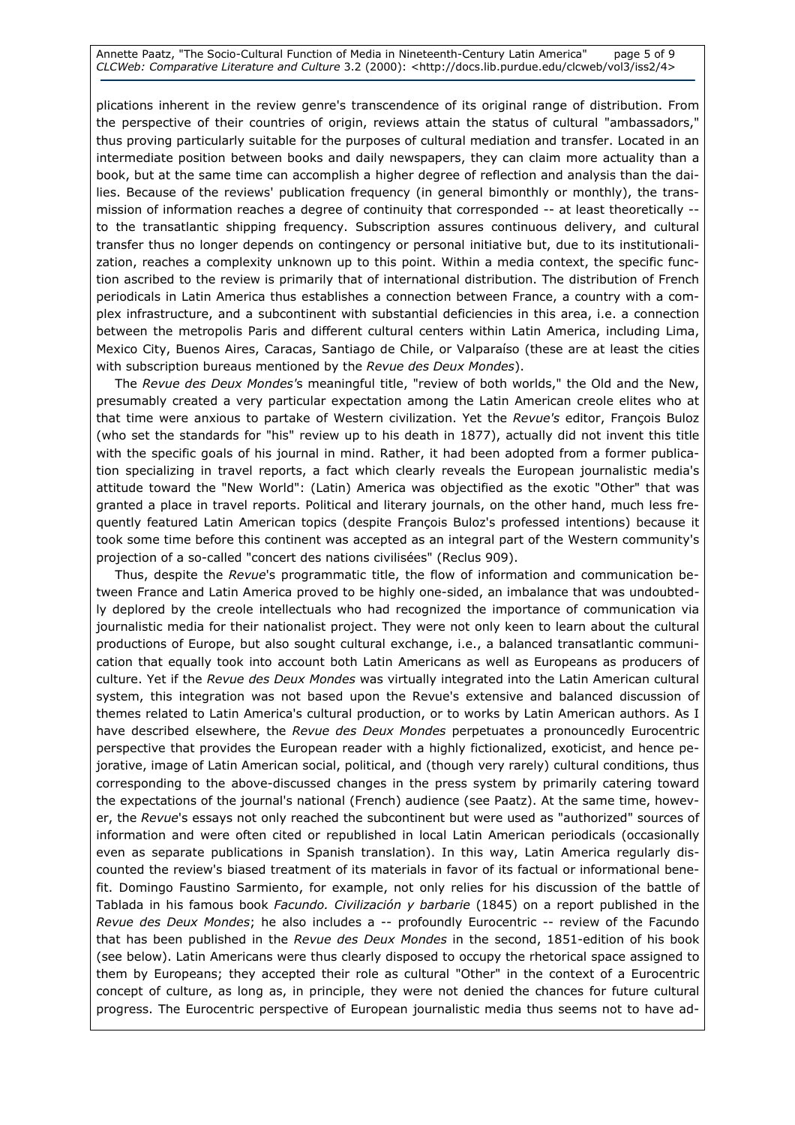Annette Paatz, "The Socio-Cultural Function of Media in Nineteenth-Century Latin America" page 5 of 9 CLCWeb: Comparative Literature and Culture 3.2 (2000): <http://docs.lib.purdue.edu/clcweb/vol3/iss2/4>

plications inherent in the review genre's transcendence of its original range of distribution. From the perspective of their countries of origin, reviews attain the status of cultural "ambassadors," thus proving particularly suitable for the purposes of cultural mediation and transfer. Located in an intermediate position between books and daily newspapers, they can claim more actuality than a book, but at the same time can accomplish a higher degree of reflection and analysis than the dailies. Because of the reviews' publication frequency (in general bimonthly or monthly), the transmission of information reaches a degree of continuity that corresponded -- at least theoretically - to the transatlantic shipping frequency. Subscription assures continuous delivery, and cultural transfer thus no longer depends on contingency or personal initiative but, due to its institutionalization, reaches a complexity unknown up to this point. Within a media context, the specific function ascribed to the review is primarily that of international distribution. The distribution of French periodicals in Latin America thus establishes a connection between France, a country with a complex infrastructure, and a subcontinent with substantial deficiencies in this area, i.e. a connection between the metropolis Paris and different cultural centers within Latin America, including Lima, Mexico City, Buenos Aires, Caracas, Santiago de Chile, or Valparaíso (these are at least the cities with subscription bureaus mentioned by the Revue des Deux Mondes).

The Revue des Deux Mondes's meaningful title, "review of both worlds," the Old and the New, presumably created a very particular expectation among the Latin American creole elites who at that time were anxious to partake of Western civilization. Yet the Revue's editor, François Buloz (who set the standards for "his" review up to his death in 1877), actually did not invent this title with the specific goals of his journal in mind. Rather, it had been adopted from a former publication specializing in travel reports, a fact which clearly reveals the European journalistic media's attitude toward the "New World": (Latin) America was objectified as the exotic "Other" that was granted a place in travel reports. Political and literary journals, on the other hand, much less frequently featured Latin American topics (despite François Buloz's professed intentions) because it took some time before this continent was accepted as an integral part of the Western community's projection of a so-called "concert des nations civilisées" (Reclus 909).

Thus, despite the Revue's programmatic title, the flow of information and communication between France and Latin America proved to be highly one-sided, an imbalance that was undoubtedly deplored by the creole intellectuals who had recognized the importance of communication via journalistic media for their nationalist project. They were not only keen to learn about the cultural productions of Europe, but also sought cultural exchange, i.e., a balanced transatlantic communication that equally took into account both Latin Americans as well as Europeans as producers of culture. Yet if the Revue des Deux Mondes was virtually integrated into the Latin American cultural system, this integration was not based upon the Revue's extensive and balanced discussion of themes related to Latin America's cultural production, or to works by Latin American authors. As I have described elsewhere, the Revue des Deux Mondes perpetuates a pronouncedly Eurocentric perspective that provides the European reader with a highly fictionalized, exoticist, and hence pejorative, image of Latin American social, political, and (though very rarely) cultural conditions, thus corresponding to the above-discussed changes in the press system by primarily catering toward the expectations of the journal's national (French) audience (see Paatz). At the same time, however, the Revue's essays not only reached the subcontinent but were used as "authorized" sources of information and were often cited or republished in local Latin American periodicals (occasionally even as separate publications in Spanish translation). In this way, Latin America regularly discounted the review's biased treatment of its materials in favor of its factual or informational benefit. Domingo Faustino Sarmiento, for example, not only relies for his discussion of the battle of Tablada in his famous book Facundo. Civilización y barbarie (1845) on a report published in the Revue des Deux Mondes; he also includes a -- profoundly Eurocentric -- review of the Facundo that has been published in the Revue des Deux Mondes in the second, 1851-edition of his book (see below). Latin Americans were thus clearly disposed to occupy the rhetorical space assigned to them by Europeans; they accepted their role as cultural "Other" in the context of a Eurocentric concept of culture, as long as, in principle, they were not denied the chances for future cultural progress. The Eurocentric perspective of European journalistic media thus seems not to have ad-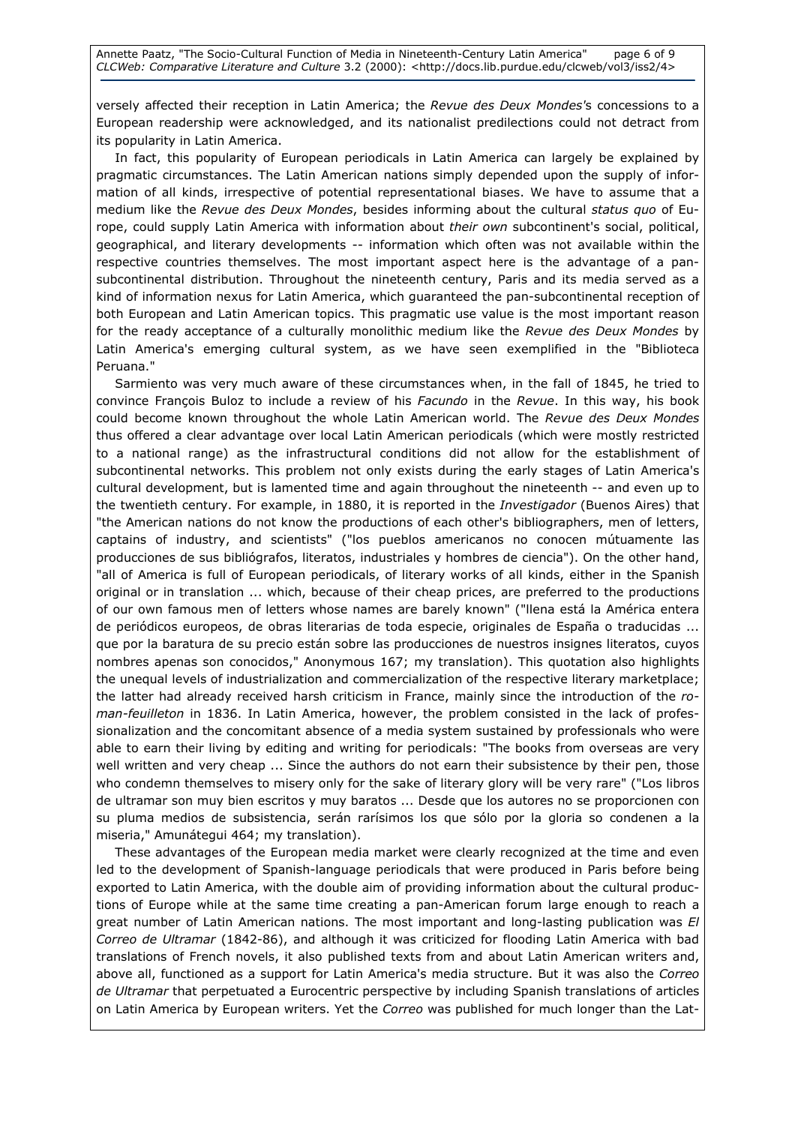versely affected their reception in Latin America; the Revue des Deux Mondes's concessions to a European readership were acknowledged, and its nationalist predilections could not detract from its popularity in Latin America.

In fact, this popularity of European periodicals in Latin America can largely be explained by pragmatic circumstances. The Latin American nations simply depended upon the supply of information of all kinds, irrespective of potential representational biases. We have to assume that a medium like the Revue des Deux Mondes, besides informing about the cultural status quo of Europe, could supply Latin America with information about their own subcontinent's social, political, geographical, and literary developments -- information which often was not available within the respective countries themselves. The most important aspect here is the advantage of a pansubcontinental distribution. Throughout the nineteenth century, Paris and its media served as a kind of information nexus for Latin America, which guaranteed the pan-subcontinental reception of both European and Latin American topics. This pragmatic use value is the most important reason for the ready acceptance of a culturally monolithic medium like the Revue des Deux Mondes by Latin America's emerging cultural system, as we have seen exemplified in the "Biblioteca Peruana."

Sarmiento was very much aware of these circumstances when, in the fall of 1845, he tried to convince François Buloz to include a review of his Facundo in the Revue. In this way, his book could become known throughout the whole Latin American world. The Revue des Deux Mondes thus offered a clear advantage over local Latin American periodicals (which were mostly restricted to a national range) as the infrastructural conditions did not allow for the establishment of subcontinental networks. This problem not only exists during the early stages of Latin America's cultural development, but is lamented time and again throughout the nineteenth -- and even up to the twentieth century. For example, in 1880, it is reported in the *Investigador* (Buenos Aires) that "the American nations do not know the productions of each other's bibliographers, men of letters, captains of industry, and scientists" ("los pueblos americanos no conocen mútuamente las producciones de sus bibliógrafos, literatos, industriales y hombres de ciencia"). On the other hand, "all of America is full of European periodicals, of literary works of all kinds, either in the Spanish original or in translation ... which, because of their cheap prices, are preferred to the productions of our own famous men of letters whose names are barely known" ("llena está la América entera de periódicos europeos, de obras literarias de toda especie, originales de España o traducidas ... que por la baratura de su precio están sobre las producciones de nuestros insignes literatos, cuyos nombres apenas son conocidos," Anonymous 167; my translation). This quotation also highlights the unequal levels of industrialization and commercialization of the respective literary marketplace; the latter had already received harsh criticism in France, mainly since the introduction of the roman-feuilleton in 1836. In Latin America, however, the problem consisted in the lack of professionalization and the concomitant absence of a media system sustained by professionals who were able to earn their living by editing and writing for periodicals: "The books from overseas are very well written and very cheap ... Since the authors do not earn their subsistence by their pen, those who condemn themselves to misery only for the sake of literary glory will be very rare" ("Los libros de ultramar son muy bien escritos y muy baratos ... Desde que los autores no se proporcionen con su pluma medios de subsistencia, serán rarísimos los que sólo por la gloria so condenen a la miseria," Amunátegui 464; my translation).

These advantages of the European media market were clearly recognized at the time and even led to the development of Spanish-language periodicals that were produced in Paris before being exported to Latin America, with the double aim of providing information about the cultural productions of Europe while at the same time creating a pan-American forum large enough to reach a great number of Latin American nations. The most important and long-lasting publication was El Correo de Ultramar (1842-86), and although it was criticized for flooding Latin America with bad translations of French novels, it also published texts from and about Latin American writers and, above all, functioned as a support for Latin America's media structure. But it was also the Correo de Ultramar that perpetuated a Eurocentric perspective by including Spanish translations of articles on Latin America by European writers. Yet the Correo was published for much longer than the Lat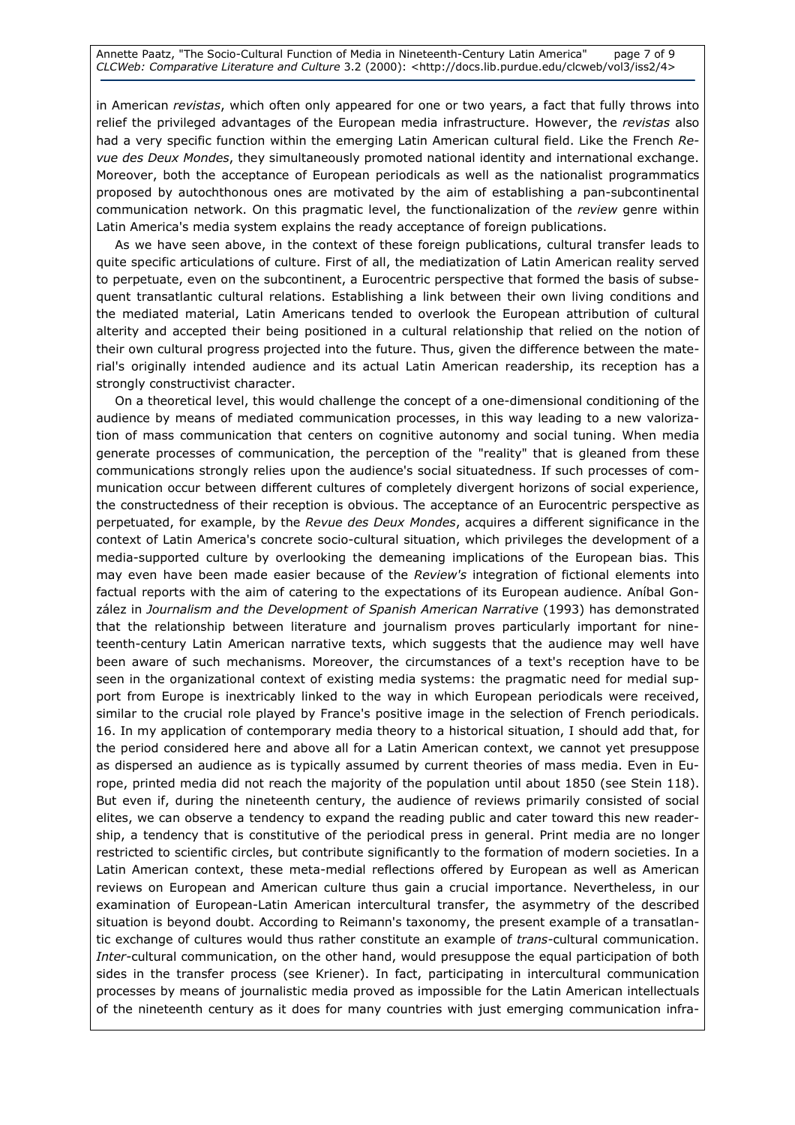Annette Paatz, "The Socio-Cultural Function of Media in Nineteenth-Century Latin America" page 7 of 9 CLCWeb: Comparative Literature and Culture 3.2 (2000): <http://docs.lib.purdue.edu/clcweb/vol3/iss2/4>

in American revistas, which often only appeared for one or two years, a fact that fully throws into relief the privileged advantages of the European media infrastructure. However, the revistas also had a very specific function within the emerging Latin American cultural field. Like the French Revue des Deux Mondes, they simultaneously promoted national identity and international exchange. Moreover, both the acceptance of European periodicals as well as the nationalist programmatics proposed by autochthonous ones are motivated by the aim of establishing a pan-subcontinental communication network. On this pragmatic level, the functionalization of the review genre within Latin America's media system explains the ready acceptance of foreign publications.

As we have seen above, in the context of these foreign publications, cultural transfer leads to quite specific articulations of culture. First of all, the mediatization of Latin American reality served to perpetuate, even on the subcontinent, a Eurocentric perspective that formed the basis of subsequent transatlantic cultural relations. Establishing a link between their own living conditions and the mediated material, Latin Americans tended to overlook the European attribution of cultural alterity and accepted their being positioned in a cultural relationship that relied on the notion of their own cultural progress projected into the future. Thus, given the difference between the material's originally intended audience and its actual Latin American readership, its reception has a strongly constructivist character.

On a theoretical level, this would challenge the concept of a one-dimensional conditioning of the audience by means of mediated communication processes, in this way leading to a new valorization of mass communication that centers on cognitive autonomy and social tuning. When media generate processes of communication, the perception of the "reality" that is gleaned from these communications strongly relies upon the audience's social situatedness. If such processes of communication occur between different cultures of completely divergent horizons of social experience, the constructedness of their reception is obvious. The acceptance of an Eurocentric perspective as perpetuated, for example, by the Revue des Deux Mondes, acquires a different significance in the context of Latin America's concrete socio-cultural situation, which privileges the development of a media-supported culture by overlooking the demeaning implications of the European bias. This may even have been made easier because of the Review's integration of fictional elements into factual reports with the aim of catering to the expectations of its European audience. Aníbal González in Journalism and the Development of Spanish American Narrative (1993) has demonstrated that the relationship between literature and journalism proves particularly important for nineteenth-century Latin American narrative texts, which suggests that the audience may well have been aware of such mechanisms. Moreover, the circumstances of a text's reception have to be seen in the organizational context of existing media systems: the pragmatic need for medial support from Europe is inextricably linked to the way in which European periodicals were received, similar to the crucial role played by France's positive image in the selection of French periodicals. 16. In my application of contemporary media theory to a historical situation, I should add that, for the period considered here and above all for a Latin American context, we cannot yet presuppose as dispersed an audience as is typically assumed by current theories of mass media. Even in Europe, printed media did not reach the majority of the population until about 1850 (see Stein 118). But even if, during the nineteenth century, the audience of reviews primarily consisted of social elites, we can observe a tendency to expand the reading public and cater toward this new readership, a tendency that is constitutive of the periodical press in general. Print media are no longer restricted to scientific circles, but contribute significantly to the formation of modern societies. In a Latin American context, these meta-medial reflections offered by European as well as American reviews on European and American culture thus gain a crucial importance. Nevertheless, in our examination of European-Latin American intercultural transfer, the asymmetry of the described situation is beyond doubt. According to Reimann's taxonomy, the present example of a transatlantic exchange of cultures would thus rather constitute an example of *trans-cultural communication*. Inter-cultural communication, on the other hand, would presuppose the equal participation of both sides in the transfer process (see Kriener). In fact, participating in intercultural communication processes by means of journalistic media proved as impossible for the Latin American intellectuals of the nineteenth century as it does for many countries with just emerging communication infra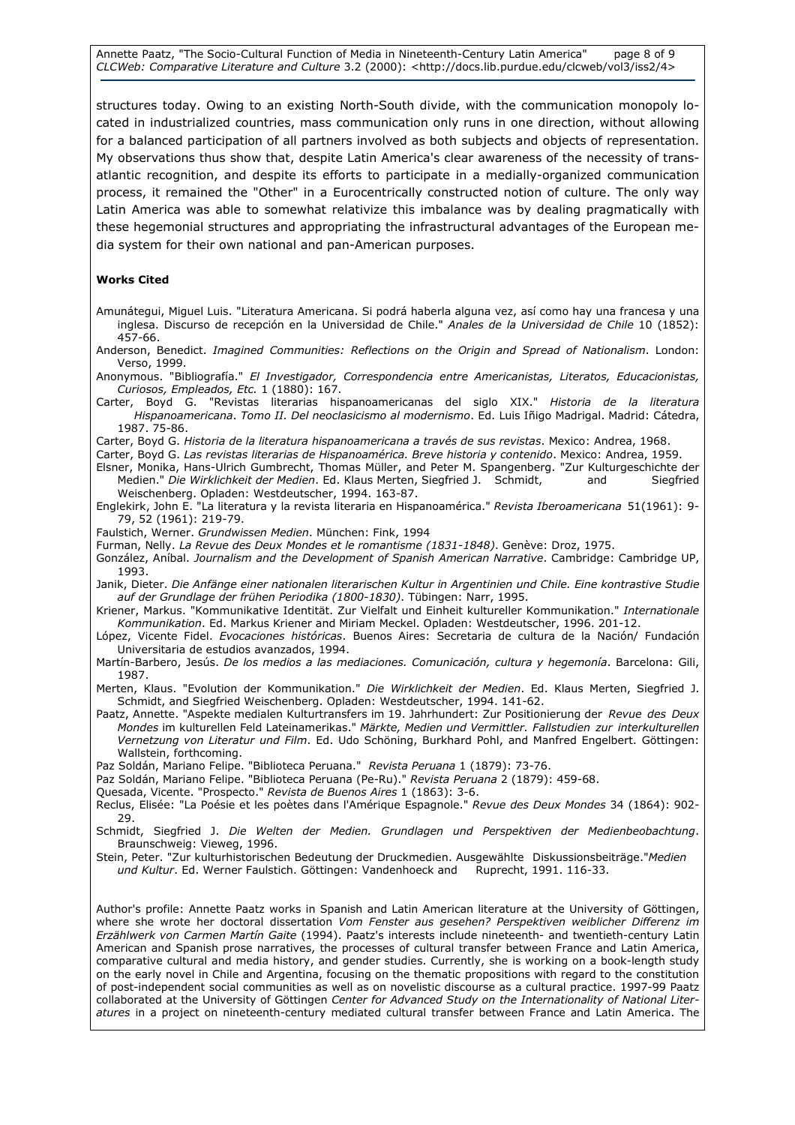Annette Paatz, "The Socio-Cultural Function of Media in Nineteenth-Century Latin America" page 8 of 9 CLCWeb: Comparative Literature and Culture 3.2 (2000): <http://docs.lib.purdue.edu/clcweb/vol3/iss2/4>

structures today. Owing to an existing North-South divide, with the communication monopoly located in industrialized countries, mass communication only runs in one direction, without allowing for a balanced participation of all partners involved as both subjects and objects of representation. My observations thus show that, despite Latin America's clear awareness of the necessity of transatlantic recognition, and despite its efforts to participate in a medially-organized communication process, it remained the "Other" in a Eurocentrically constructed notion of culture. The only way Latin America was able to somewhat relativize this imbalance was by dealing pragmatically with these hegemonial structures and appropriating the infrastructural advantages of the European media system for their own national and pan-American purposes.

#### Works Cited

- Amunátegui, Miguel Luis. "Literatura Americana. Si podrá haberla alguna vez, así como hay una francesa y una inglesa. Discurso de recepción en la Universidad de Chile." Anales de la Universidad de Chile 10 (1852): 457-66.
- Anderson, Benedict. Imagined Communities: Reflections on the Origin and Spread of Nationalism. London: Verso, 1999.
- Anonymous. "Bibliografía." El Investigador, Correspondencia entre Americanistas, Literatos, Educacionistas, Curiosos, Empleados, Etc. 1 (1880): 167.
- Carter, Boyd G. "Revistas literarías hispanoamericanas del siglo XIX." Historia de la literatura Hispanoamericana. Tomo II. Del neoclasicismo al modernismo. Ed. Luis Iñigo Madrigal. Madrid: Cátedra, 1987. 75-86.
- Carter, Boyd G. Historia de la literatura hispanoamericana a través de sus revistas. Mexico: Andrea, 1968.
- Carter, Boyd G. Las revistas literarias de Hispanoamérica. Breve historia y contenido. Mexico: Andrea, 1959.
- Elsner, Monika, Hans-Ulrich Gumbrecht, Thomas Müller, and Peter M. Spangenberg. "Zur Kulturgeschichte der Medien." Die Wirklichkeit der Medien. Ed. Klaus Merten, Siegfried J. Schmidt, and Siegfried Weischenberg. Opladen: Westdeutscher, 1994. 163-87.
- Englekirk, John E. "La literatura y la revista literaria en Hispanoamérica." Revista Iberoamericana 51(1961): 9- 79, 52 (1961): 219-79.
- Faulstich, Werner. Grundwissen Medien. München: Fink, 1994
- Furman, Nelly. La Revue des Deux Mondes et le romantisme (1831-1848). Genève: Droz, 1975.
- González, Aníbal. Journalism and the Development of Spanish American Narrative. Cambridge: Cambridge UP, 1993.
- Janik, Dieter. Die Anfänge einer nationalen literarischen Kultur in Argentinien und Chile. Eine kontrastive Studie auf der Grundlage der frühen Periodika (1800-1830). Tübingen: Narr, 1995.
- Kriener, Markus. "Kommunikative Identität. Zur Vielfalt und Einheit kultureller Kommunikation." Internationale Kommunikation. Ed. Markus Kriener and Miriam Meckel. Opladen: Westdeutscher, 1996. 201-12.
- López, Vicente Fidel. Evocaciones históricas. Buenos Aires: Secretaria de cultura de la Nación/ Fundación Universitaria de estudios avanzados, 1994.
- Martín-Barbero, Jesús. De los medios a las mediaciones. Comunicación, cultura y hegemonía. Barcelona: Gili, 1987.
- Merten, Klaus. "Evolution der Kommunikation." Die Wirklichkeit der Medien. Ed. Klaus Merten, Siegfried J. Schmidt, and Siegfried Weischenberg. Opladen: Westdeutscher, 1994. 141-62.
- Paatz, Annette. "Aspekte medialen Kulturtransfers im 19. Jahrhundert: Zur Positionierung der Revue des Deux Mondes im kulturellen Feld Lateinamerikas." Märkte, Medien und Vermittler. Fallstudien zur interkulturellen Vernetzung von Literatur und Film. Ed. Udo Schöning, Burkhard Pohl, and Manfred Engelbert. Göttingen: Wallstein, forthcoming.
- Paz Soldán, Mariano Felipe. "Biblioteca Peruana." Revista Peruana 1 (1879): 73-76.
- Paz Soldán, Mariano Felipe. "Biblioteca Peruana (Pe-Ru)." Revista Peruana 2 (1879): 459-68.
- Quesada, Vicente. "Prospecto." Revista de Buenos Aires 1 (1863): 3-6.
- Reclus, Elisée: "La Poésie et les poètes dans l'Amérique Espagnole." Revue des Deux Mondes 34 (1864): 902-29.
- Schmidt, Siegfried J. Die Welten der Medien. Grundlagen und Perspektiven der Medienbeobachtung. Braunschweig: Vieweg, 1996.
- Stein, Peter. "Zur kulturhistorischen Bedeutung der Druckmedien. Ausgewählte Diskussionsbeiträge."Medien und Kultur. Ed. Werner Faulstich. Göttingen: Vandenhoeck and Ruprecht, 1991. 116-33.

Author's profile: Annette Paatz works in Spanish and Latin American literature at the University of Göttingen, where she wrote her doctoral dissertation Vom Fenster aus gesehen? Perspektiven weiblicher Differenz im Erzählwerk von Carmen Martín Gaite (1994). Paatz's interests include nineteenth- and twentieth-century Latin American and Spanish prose narratives, the processes of cultural transfer between France and Latin America, comparative cultural and media history, and gender studies. Currently, she is working on a book-length study on the early novel in Chile and Argentina, focusing on the thematic propositions with regard to the constitution of post-independent social communities as well as on novelistic discourse as a cultural practice. 1997-99 Paatz collaborated at the University of Göttingen Center for Advanced Study on the Internationality of National Literatures in a project on nineteenth-century mediated cultural transfer between France and Latin America. The